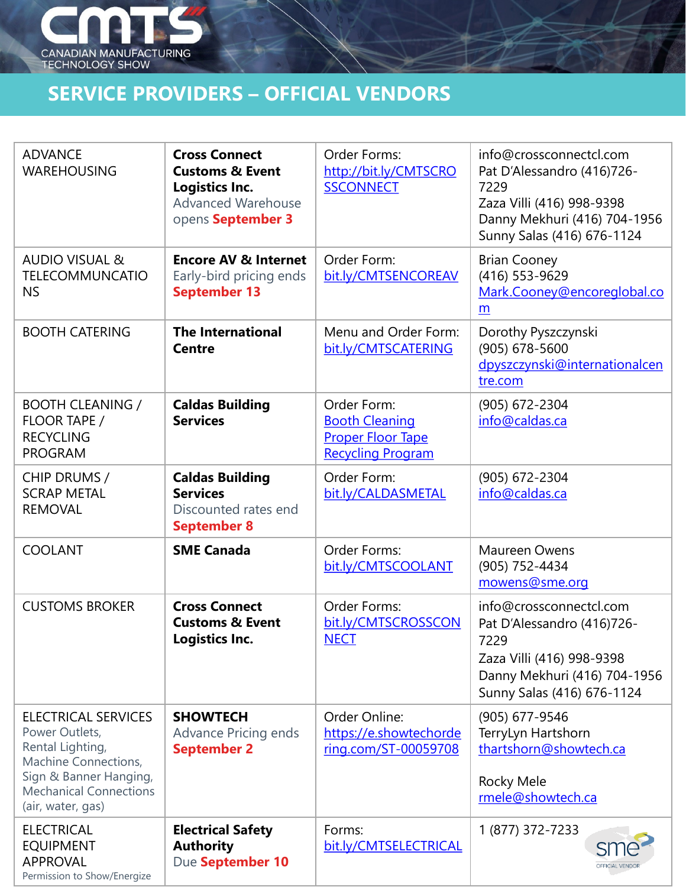

## Service Providers and Service Providers and Service Providers and Service Providers and Service Providers and **SERVICE PROVIDERS – OFFICIAL VENDORS**

| <b>ADVANCE</b><br><b>WAREHOUSING</b>                                                                                                                                     | <b>Cross Connect</b><br><b>Customs &amp; Event</b><br>Logistics Inc.<br><b>Advanced Warehouse</b><br>opens September 3 | Order Forms:<br>http://bit.ly/CMTSCRO<br><b>SSCONNECT</b>                                    | info@crossconnectcl.com<br>Pat D'Alessandro (416)726-<br>7229<br>Zaza Villi (416) 998-9398<br>Danny Mekhuri (416) 704-1956<br>Sunny Salas (416) 676-1124 |
|--------------------------------------------------------------------------------------------------------------------------------------------------------------------------|------------------------------------------------------------------------------------------------------------------------|----------------------------------------------------------------------------------------------|----------------------------------------------------------------------------------------------------------------------------------------------------------|
| <b>AUDIO VISUAL &amp;</b><br><b>TELECOMMUNCATIO</b><br><b>NS</b>                                                                                                         | <b>Encore AV &amp; Internet</b><br>Early-bird pricing ends<br><b>September 13</b>                                      | Order Form:<br>bit.ly/CMTSENCOREAV                                                           | <b>Brian Cooney</b><br>(416) 553-9629<br>Mark.Cooney@encoreglobal.co<br>m                                                                                |
| <b>BOOTH CATERING</b>                                                                                                                                                    | <b>The International</b><br><b>Centre</b>                                                                              | Menu and Order Form:<br>bit.ly/CMTSCATERING                                                  | Dorothy Pyszczynski<br>$(905) 678 - 5600$<br>dpyszczynski@internationalcen<br>tre.com                                                                    |
| <b>BOOTH CLEANING /</b><br>FLOOR TAPE /<br><b>RECYCLING</b><br><b>PROGRAM</b>                                                                                            | <b>Caldas Building</b><br><b>Services</b>                                                                              | Order Form:<br><b>Booth Cleaning</b><br><b>Proper Floor Tape</b><br><b>Recycling Program</b> | (905) 672-2304<br>info@caldas.ca                                                                                                                         |
| CHIP DRUMS /<br><b>SCRAP METAL</b><br><b>REMOVAL</b>                                                                                                                     | <b>Caldas Building</b><br><b>Services</b><br>Discounted rates end<br><b>September 8</b>                                | Order Form:<br>bit.ly/CALDASMETAL                                                            | (905) 672-2304<br>info@caldas.ca                                                                                                                         |
| <b>COOLANT</b>                                                                                                                                                           | <b>SME Canada</b>                                                                                                      | Order Forms:<br>bit.ly/CMTSCOOLANT                                                           | <b>Maureen Owens</b><br>(905) 752-4434<br>mowens@sme.org                                                                                                 |
| <b>CUSTOMS BROKER</b>                                                                                                                                                    | <b>Cross Connect</b><br><b>Customs &amp; Event</b><br>Logistics Inc.                                                   | Order Forms:<br>bit.ly/CMTSCROSSCON<br><b>NECT</b>                                           | info@crossconnectcl.com<br>Pat D'Alessandro (416)726-<br>7229<br>Zaza Villi (416) 998-9398<br>Danny Mekhuri (416) 704-1956<br>Sunny Salas (416) 676-1124 |
| <b>ELECTRICAL SERVICES</b><br>Power Outlets,<br>Rental Lighting,<br>Machine Connections,<br>Sign & Banner Hanging,<br><b>Mechanical Connections</b><br>(air, water, gas) | <b>SHOWTECH</b><br><b>Advance Pricing ends</b><br><b>September 2</b>                                                   | Order Online:<br>https://e.showtechorde<br>ring.com/ST-00059708                              | (905) 677-9546<br>TerryLyn Hartshorn<br>thartshorn@showtech.ca<br><b>Rocky Mele</b><br>rmele@showtech.ca                                                 |
| <b>ELECTRICAL</b><br><b>EQUIPMENT</b><br><b>APPROVAL</b><br>Permission to Show/Energize                                                                                  | <b>Electrical Safety</b><br><b>Authority</b><br>Due September 10                                                       | Forms:<br>bit.ly/CMTSELECTRICAL                                                              | 1 (877) 372-7233<br><b>OFFICIAL VENDO</b>                                                                                                                |